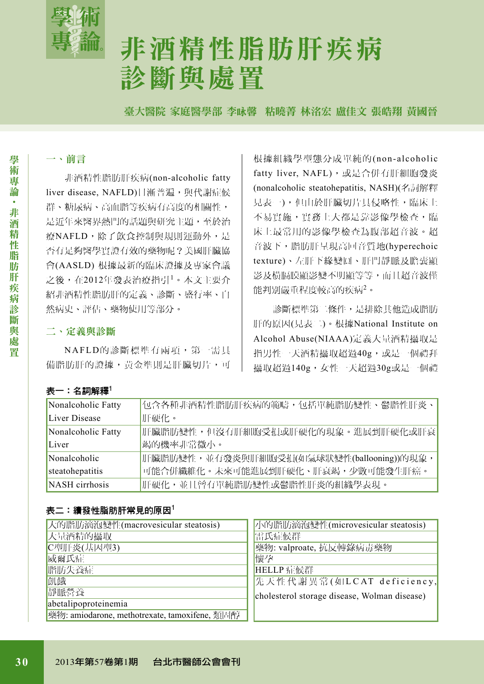

# 非酒精性脂肪肝疾病 診斷與處置

臺大醫院 家庭醫學部 李咏馨 粘曉菁 林洺宏 盧佳文 張皓翔 黃國晉

# 一、前言

非酒精性脂肪肝疾病(non-alcoholic fatty liver disease, NAFLD)日漸普遍,與代謝症候 群、糖尿病、高血脂等疾病有高度的相關性, 是近年來醫界熱門的話題與研究主題,至於治 療NAFLD,除了飲食控制與規則運動外,是 否有足夠醫學實證有效的藥物呢?美國肝臟協 會(AASLD) 根據最新的臨床證據及專家會議 之後,在2012年發表治療指引1。本文主要介 紹非酒精性脂肪肝的定義、診斷、盛行率、自 然病史、評估、藥物使用等部分。

# 二、定義與診斷

NAFLD的診斷標準有兩項,第一需具 備脂肪肝的證據,黃金準則是肝臟切片,可 根據組織學型熊分成單純的(non-alcoholic fatty liver, NAFL), 或是合併有肝細胞發炎 (nonalcoholic steatohepatitis, NASH)(名詞解釋 見表一),但由於肝臟切片具侵略性,臨床上 不易實施,實務上大都是靠影像學檢查,臨 床上最常用的影像學檢查為腹部超音波。超 音波下,脂肪肝呈現高回音質地(hyperechoic texture)、左肝下緣變圓、肝門靜脈及膽囊顯 影及橫膈膜顯影變不明顯等等,而且超音波僅 能判別嚴重程度較高的疾病2。

診斷標準第二條件,是排除其他造成脂肪 肝的原因(見表二)。根據National Institute on Alcohol Abuse(NIAAA)定義大量酒精攝取是 指男性一天酒精攝取超過40g,或是一個禮拜 攝取超過140g,女性一天超過30g或是一個禮

## 表一:名詞解釋 $1$

| Nonalcoholic Fatty | 包含各種非酒精性脂肪肝疾病的範疇,包括單純脂肪變性、鬱脂性肝炎、          |
|--------------------|-------------------------------------------|
| Liver Disease      | 肝硬化。                                      |
| Nonalcoholic Fatty | 肝臟脂肪變性,但沒有肝細胞受損或肝硬化的現象。進展到肝硬化或肝衰          |
| Liver              | 竭的機率非常微小。                                 |
| Nonalcoholic       | 肝臟脂肪變性,並有發炎與肝細胞受損(如氣球狀變性(ballooning))的現象, |
| steatohepatitis    | 可能合併纖維化。未來可能進展到肝硬化、肝衰竭,少數可能發生肝癌。          |
| NASH cirrhosis     | 肝硬化,並且曾有單純脂肪變性或鬱脂性肝炎的組織學表現。               |

## 表二:續發性脂肪肝常見的原因 $^1$

| 大的脂肪滴泡變性(macrovesicular steatosis)            | 小的脂肪滴泡變性(microvesicular steatosis)           |
|-----------------------------------------------|----------------------------------------------|
| 大量酒精的攝取                                       | 雷氏症候群                                        |
| C型肝炎(基因型3)                                    | 繁物: valproate, 抗反轉錄病毒藥物                      |
| 威爾氏症                                          | 懷孕                                           |
| 脂肪失養症                                         | HELLP 症候群                                    |
| 飢餓                                            | 先天性代謝異常(如LCAT deficiency,                    |
| 靜脈營養                                          | cholesterol storage disease, Wolman disease) |
| abetalipoproteinemia                          |                                              |
| 藥物: amiodarone, methotrexate, tamoxifene, 類固醇 |                                              |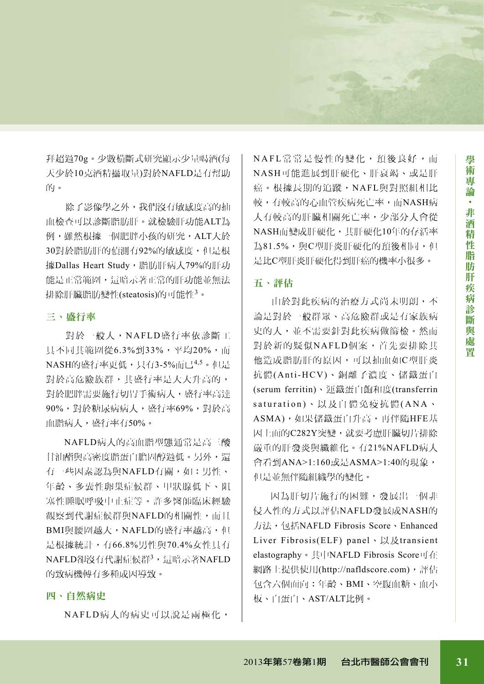拜超過70g。少數橫斷式研究顯示少量喝酒(每 天少於10克酒精攝取量)對於NAFLD是有幫助 的。

除了影像學之外,我們沒有敏感度高的抽 血檢查可以診斷脂肪肝。就檢驗肝功能ALT為 例,雖然根據一個肥胖小孩的研究,ALT大於 30對於脂肪肝的偵測有92%的敏感度,但是根 據Dallas Heart Study,脂肪肝病人79%的肝功 能是正常範圍,這暗示著正常的肝功能並無法 排除肝臟脂肪變性(steatosis)的可能性3。

## 三、盛行率

對於一般人,NAFLD盛行率依診斷工 具不同其範圍從6.3%到33%,平均20%,而 NASH的盛行率更低,只有3-5%而已<sup>4,5</sup>。但是 對於高危險族群,其盛行率是大大升高的, 對於肥胖需要施行切胃手術病人,盛行率高達 90%,對於糖尿病病人,盛行率69%,對於高 血脂病人,盛行率有50%。

NAFLD病人的高血脂型態通常是高三酸 甘油酯與高密度脂蛋白膽固醇過低。另外,還 有一些因素認為與NAFLD有關,如:男性、 年齡、多囊性卵巢症候群、甲狀腺低下、阻 塞性睡眠呼吸中止症等。許多醫師臨床經驗 觀察到代謝症候群與NAFLD的相關性,而且 BMI與腰圍越大,NAFLD的盛行率越高,但 是根據統計,有66.8%男性與70.4%女性具有 NAFLD卻沒有代謝症候群<sup>3</sup>,這暗示著NAFLD 的致病機轉有多種成因導致。

## 四、自然病史

NAFLD病人的病史可以說是兩極化,

N A F L 常 常 是 慢 性 的 變 化 , 預 後 良 好 , 而 NASH可能進展到肝硬化、肝衰竭、或是肝 癌。根據長期的追蹤,NAFL與對照組相比 較,有較高的心血管疾病死亡率,而NASH病 人有較高的肝臟相關死亡率,少部分人會從 NASH而變成肝硬化,其肝硬化10年的存活率 為81.5%,與C型肝炎肝硬化的預後相同,但 是比C型肝炎肝硬化得到肝癌的機率小很多。

#### 五、評估

由於對此疾病的治療方式尚未明朗,不 論是對於一般群眾、高危險群或是有家族病 史的人,並不需要針對此疾病做篩檢。然而 對於新的疑似NAFLD個案,首先要排除其 他造成脂肪肝的原因,可以抽血如C型肝炎 抗體(Anti-HCV)、銅離子濃度、儲鐵蛋白 (serum ferritin)、運鐵蛋白飽和度(transferrin saturation)、以及自體免疫抗體(ANA、 ASMA),如果儲鐵蛋白升高,再伴隨HFE基 因上面的C282Y突變,就要考慮肝臟切片排除 嚴重的肝發炎與纖維化。有21%NAFLD病人 會看到ANA>1:160或是ASMA>1:40的現象, 但是並無伴隨組織學的變化。

因為肝切片施行的困難,發展出一個非 侵入性的方式以評估NAFLD發展成NASH的 方法,包括NAFLD Fibrosis Score、Enhanced Liver Fibrosis(ELF) panel、以及transient elastography。其中NAFLD Fibrosis Score可在 網路上提供使用(http://nafldscore.com),評估 包含六個面向:年齡、BMI、空腹血糖、血小 板、白蛋白、AST/ALT比例。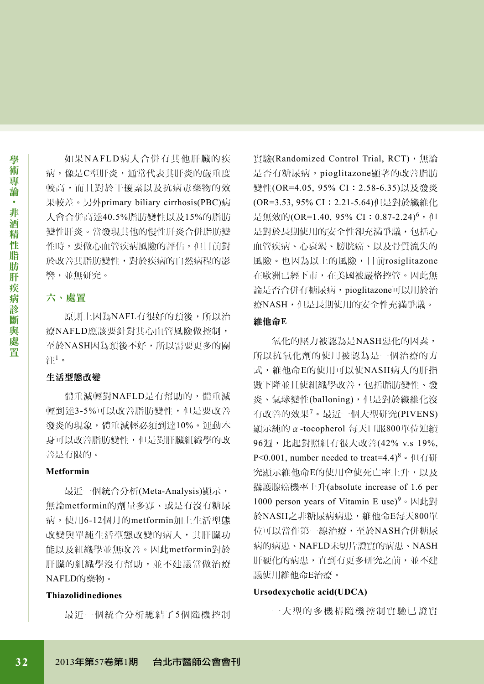如果NAFLD病人合併有其他肝臟的疾 病,像是C型肝炎,通常代表其肝炎的嚴重度 較高,而且對於干擾素以及抗病毒藥物的效 果較差。另外primary biliary cirrhosis(PBC)病 人會合併高達40.5%脂肪變性以及15%的脂肪 變性肝炎。當發現其他的慢性肝炎合併脂肪變 性時,要做心血管疾病風險的評估,但目前對 於改善其脂肪變性,對於疾病的自然病程的影 響,並無研究。

## 六、處置

原則上因為NAFL有很好的預後,所以治 療NAFLD應該要針對其心血管風險做控制, 至於NASH因為預後不好,所以需要更多的關 注 $^1$ 。

## 生活型態改變

體重減輕對NAFLD是有幫助的,體重減 輕到達3-5%可以改善脂肪變性,但是要改善 發炎的現象,體重減輕必須到達10%。運動本 身可以改善脂肪變性,但是對肝臟組織學的改 善是有限的。

#### **Metformin**

最近一個統合分析(Meta-Analysis)顯示, 無論metformin的劑量多寡、或是有沒有糖尿 病,使用6-12個月的metformin加上生活型態 改變與單純生活型態改變的病人,其肝臟功 能以及組織學並無改善。因此metformin對於 肝臟的組織學沒有幫助,並不建議當做治療 NAFLD的藥物。

#### **Thiazolidinediones**

最近一個統合分析總結了5個隨機控制

實驗(Randomized Control Trial, RCT),無論 是否有糖尿病,pioglitazone顯著的改善脂肪 變性(OR=4.05, 95% CI: 2.58-6.35)以及發炎 (OR=3.53, 95% CI:2.21-5.64)但是對於纖維化 是無效的(OR=1.40, 95% CI: 0.87-2.24)<sup>6</sup>, 但 是對於長期使用的安全性卻充滿爭議,包括心 血管疾病、心衰竭、膀胱癌、以及骨質流失的 風險。也因為以上的風險,目前rosiglitazone 在歐洲已經下市,在美國被嚴格控管。因此無 論是否合併有糖尿病,pioglitazone可以用於治 療NASH,但是長期使用的安全性充滿爭議。

#### 維他命**E**

氧化的壓力被認為是NASH惡化的因素, 所以抗氧化劑的使用被認為是一個治療的方 式,維他命E的使用可以使NASH病人的肝指 數下降並且使組織學改善,包括脂肪變性、發 炎、氣球變性(balloning),但是對於纖維化沒 有改善的效果7。最近一個大型研究(PIVENS) 顯示純的α-tocopherol 每天口服800單位連續 96週,比起對照組有很大改善(42% v.s 19%, P<0.001, number needed to treat=4.4)<sup>8</sup> 。但有研 究顯示維他命E的使用會使死亡率上升,以及 攝護腺癌機率上升(absolute increase of 1.6 per 1000 person years of Vitamin E use)<sup>9</sup>。因此對 於NASH之非糖尿病病患,維他命E每天800單 位可以當作第一線治療,至於NASH合併糖尿 病的病患、NAFLD未切片證實的病患、NASH 肝硬化的病患,直到有更多研究之前,並不建 議使用維他命E治療。

### **Ursodexycholic acid(UDCA)**

一 大 型 的 多 機 構 隨 機 控 制 實 驗 已 證 實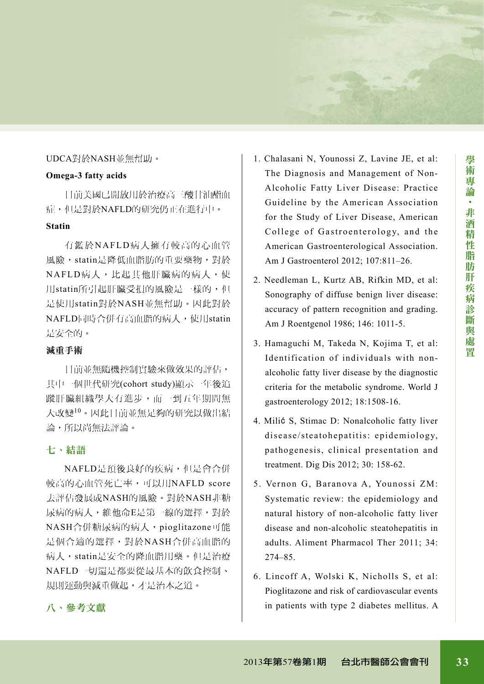# UDCA對於NASH並無幫助。

# **Omega-3 fatty acids**

目前美國已開放用於治療高三酸甘油酯血 症,但是對於NAFLD的研究仍正在進行中。

# **Statin**

有鑑於NAFLD病人擁有較高的心血管 風險,statin是降低血脂肪的重要藥物,對於 NAFLD病人,比起其他肝臟病的病人,使 用statin所引起肝臟受損的風險是一樣的,但 是使用statin對於NASH並無幫助。因此對於 NAFLD同時合併有高血脂的病人,使用statin 是安全的。

# 減重手術

目前並無隨機控制實驗來做效果的評估, 其中一個世代研究(cohort study)顯示一年後追 蹤肝臟組織學大有進步,而一到五年期間無 大改變10。因此目前並無足夠的研究以做出結 論,所以尚無法評論。

# 七、結語

NAFLD是預後良好的疾病,但是會合併 較高的心血管死亡率,可以用NAFLD score 去評估發展成NASH的風險。對於NASH非糖 尿病的病人,維他命E是第一線的選擇,對於 NASH合併糖尿病的病人,pioglitazone可能 是個合適的選擇,對於NASH合併高血脂的 病人,statin是安全的降血脂用藥。但是治療 NAFLD一切還是都要從最基本的飲食控制、 規則運動與減重做起,才是治本之道。

- 1. Chalasani N, Younossi Z, Lavine JE, et al: The Diagnosis and Management of Non-Alcoholic Fatty Liver Disease: Practice Guideline by the American Association for the Study of Liver Disease, American College of Gastroenterology, and the American Gastroenterological Association. Am J Gastroenterol 2012; 107:811–26.
- 2. Needleman L, Kurtz AB, Rifkin MD, et al: Sonography of diffuse benign liver disease: accuracy of pattern recognition and grading. Am J Roentgenol 1986; 146: 1011-5.
- 3. Hamaguchi M, Takeda N, Kojima T, et al: Identification of individuals with nonalcoholic fatty liver disease by the diagnostic criteria for the metabolic syndrome. World J gastroenterology 2012; 18:1508-16.
- 4. Milić S, Stimac D: Nonalcoholic fatty liver disease/steatohepatitis: epidemiology, pathogenesis, clinical presentation and treatment. Dig Dis 2012; 30: 158-62.
- 5. Vernon G, Baranova A, Younossi ZM: Systematic review: the epidemiology and natural history of non-alcoholic fatty liver disease and non-alcoholic steatohepatitis in adults. Aliment Pharmacol Ther 2011; 34: 274–85.
- 6. Lincoff A, Wolski K, Nicholls S, et al: Pioglitazone and risk of cardiovascular events in patients with type 2 diabetes mellitus. A

# 八、參考文獻